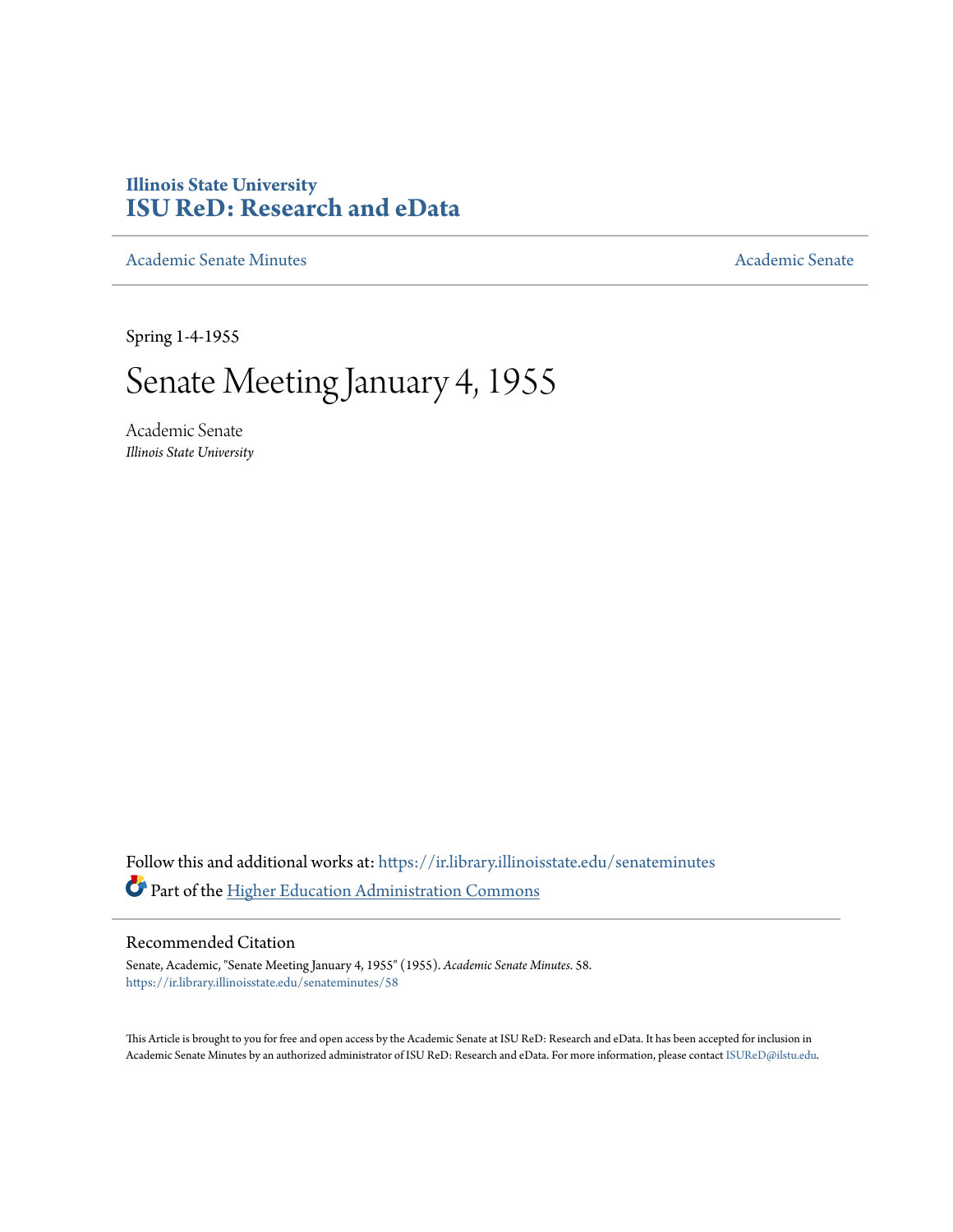## **Illinois State University [ISU ReD: Research and eData](https://ir.library.illinoisstate.edu?utm_source=ir.library.illinoisstate.edu%2Fsenateminutes%2F58&utm_medium=PDF&utm_campaign=PDFCoverPages)**

[Academic Senate Minutes](https://ir.library.illinoisstate.edu/senateminutes?utm_source=ir.library.illinoisstate.edu%2Fsenateminutes%2F58&utm_medium=PDF&utm_campaign=PDFCoverPages) [Academic Senate](https://ir.library.illinoisstate.edu/senate?utm_source=ir.library.illinoisstate.edu%2Fsenateminutes%2F58&utm_medium=PDF&utm_campaign=PDFCoverPages) Academic Senate

Spring 1-4-1955

# Senate Meeting January 4, 1955

Academic Senate *Illinois State University*

Follow this and additional works at: [https://ir.library.illinoisstate.edu/senateminutes](https://ir.library.illinoisstate.edu/senateminutes?utm_source=ir.library.illinoisstate.edu%2Fsenateminutes%2F58&utm_medium=PDF&utm_campaign=PDFCoverPages) Part of the [Higher Education Administration Commons](http://network.bepress.com/hgg/discipline/791?utm_source=ir.library.illinoisstate.edu%2Fsenateminutes%2F58&utm_medium=PDF&utm_campaign=PDFCoverPages)

#### Recommended Citation

Senate, Academic, "Senate Meeting January 4, 1955" (1955). *Academic Senate Minutes*. 58. [https://ir.library.illinoisstate.edu/senateminutes/58](https://ir.library.illinoisstate.edu/senateminutes/58?utm_source=ir.library.illinoisstate.edu%2Fsenateminutes%2F58&utm_medium=PDF&utm_campaign=PDFCoverPages)

This Article is brought to you for free and open access by the Academic Senate at ISU ReD: Research and eData. It has been accepted for inclusion in Academic Senate Minutes by an authorized administrator of ISU ReD: Research and eData. For more information, please contact [ISUReD@ilstu.edu.](mailto:ISUReD@ilstu.edu)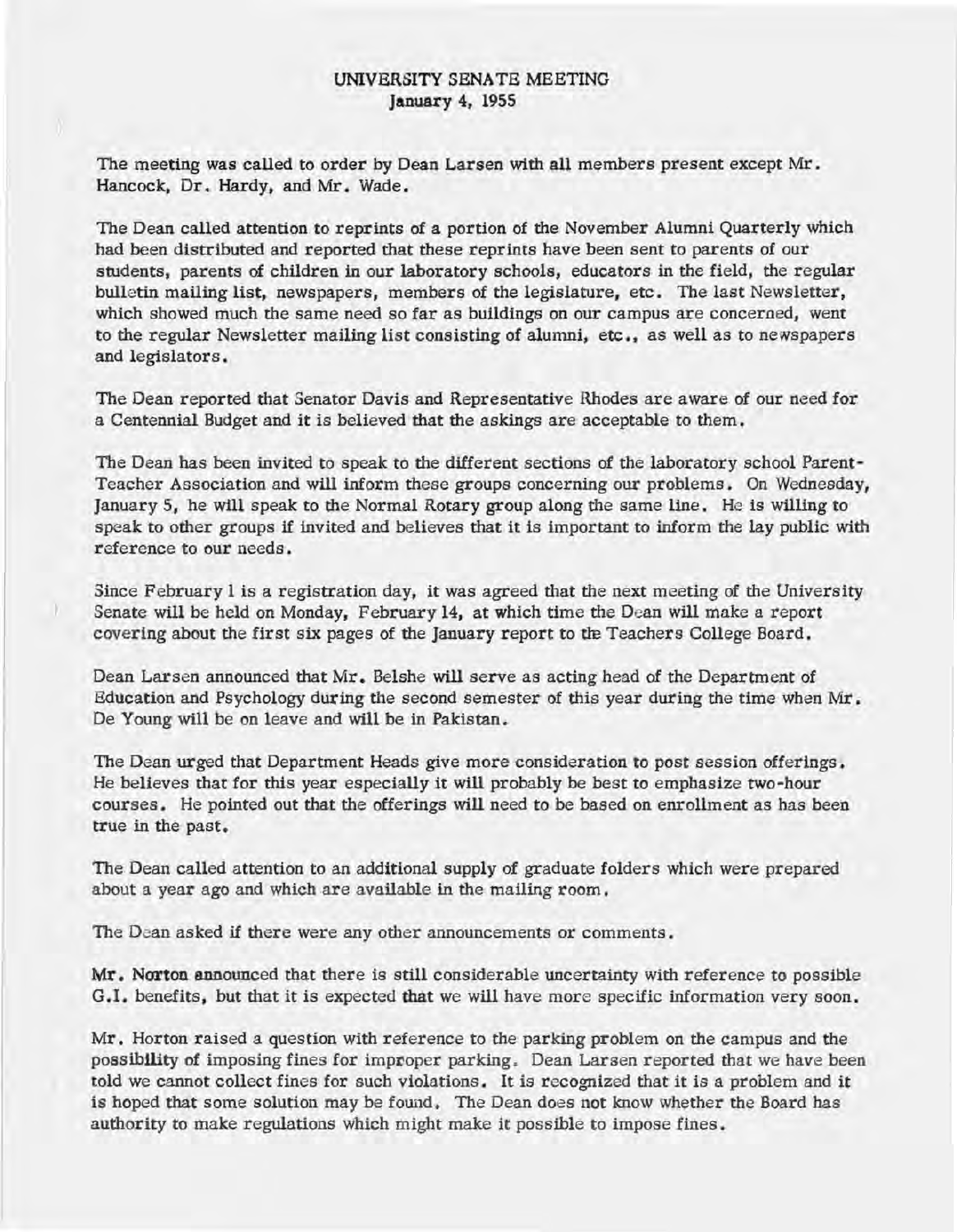### UNIVERSITY SENATE MEETING January 4, 1955

The meeting was called to order by Dean Larsen with all members present except Mr. Hancock, Dr. Hardy, and Mr. Wade.

The Dean called attention to reprints of a portion of the November Alumni Quarterly which had been distributed and reported that these reprints have been sent to parents of our students, parents of children in our laboratory schools, educators in the field, the regular bulletin mailing list, newspapers, members of the legislature, etc. The last Newsletter, which showed much the same need so far as buildings on our campus are concerned, went to the regular Newsletter mailing list consisting of alumni, etc., as well as to newspapers and legislators.

The Dean reported that Senator Davis and Representative Rhodes are a ware of our need for a Centennial Budget and it is believed that the askings are acceptable to them.

The Dean has been invited to speak to the different sections of the laboratory school Parent-Teacher Association and will inform these groups concerning our problems. On Wednesday, January 5, he will speak to the Normal Rotary group along the same line. He is willing to speak to other groups if invited and believes that it is important to inform the lay public with reference to our needs.

Since February I is a registration day, it was agreed that the next meeting of the University Senate will be held on Monday, February 14, at which time the Dean will make a report covering about the first six pages of the January report to the Teachers College Board.

Dean Larsen announced that Mr. Belshe will serve as acting head of the Department of Education and Psychology during the second semester of this year during the time when Mr. De Young will be on leave and will be in Pakistan.

The Dean urged that Department Heads give more consideration to post session offerings. He believes that for this year especially it will probably be best to emphasize two-hour courses. He pointed out that the offerings will need to be based on enrollment as has been true in the past.

The Dean called attention to an additional supply of graduate folders which were prepared about a year ago and which are available in the mailing room.

The Dean asked if there were any other announcements or comments.

Mr. Norton announced that there is still considerable uncertainty with reference to possible G.I. benefits, but that it is expected that we will have more specific information very soon.

Mr. Horton raised a question with reference to the parking problem on the campus and the possibility of imposing fines for improper parking. Dean Larsen reported that we have been told we cannot collect fines for such violations. It is recognized that it is a problem and it is hoped that some solution may be found. The Dean does not know whether the Board has authority to make regulations which might make it possible to impose fines.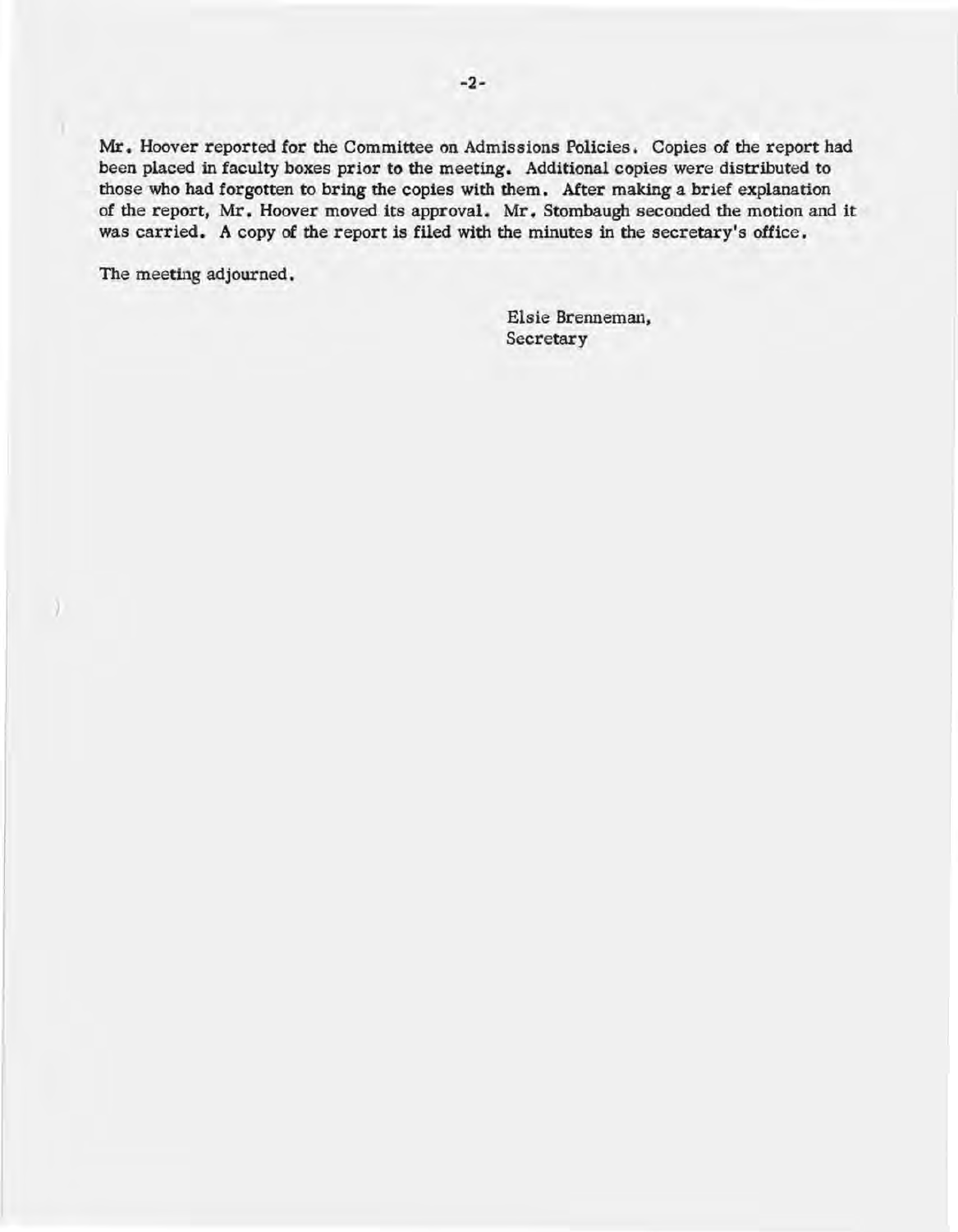Mr. Hoover reported for the Committee on Admissions Policies. Copies of the report had been placed in faculty boxes prior to the meeting. Additional copies were distributed to those who had forgotten to bring the copies with them. After making a brief explanation of the report, Mr. Hoover moved its approval. Mr. Stombaugh seconded the motion and it was carried. A copy of the report is filed with the minutes in the secretary's office.

The meeting adjourned.

)

Elsie Brenneman, **Secretary**